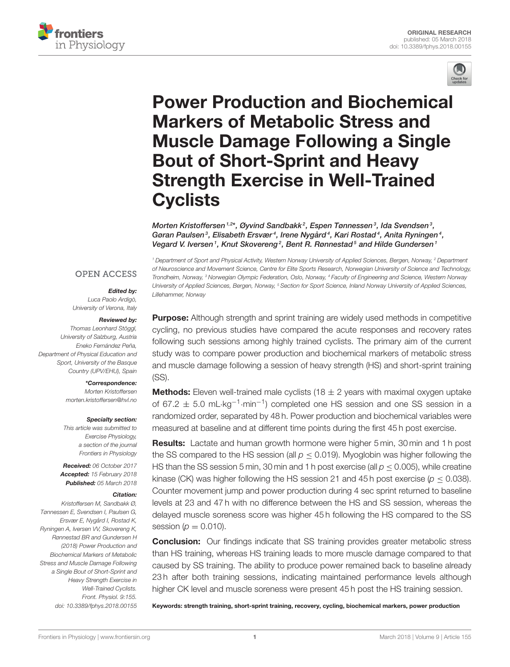



# Power Production and Biochemical Markers of Metabolic Stress and [Muscle Damage Following a Single](https://www.frontiersin.org/articles/10.3389/fphys.2018.00155/full) Bout of Short-Sprint and Heavy Strength Exercise in Well-Trained **Cyclists**

[Morten Kristoffersen](http://loop.frontiersin.org/people/116278/overview)  $^{1,2*}$ , [Øyvind Sandbakk](http://loop.frontiersin.org/people/75452/overview) $^2$ , Espen Tønnessen $^3$ , Ida Svendsen $^3$ , Gøran Paulsen $^3$ , [Elisabeth Ersvær](http://loop.frontiersin.org/people/434369/overview) $^4$ , [Irene Nygård](http://loop.frontiersin.org/people/502990/overview) $^4$ , [Kari Rostad](http://loop.frontiersin.org/people/485209/overview) $^4$ , Anita Ryningen $^4$ , Vegard V. Iversen<sup>1</sup>, [Knut Skovereng](http://loop.frontiersin.org/people/445952/overview)<sup>2</sup>, [Bent R. Rønnestad](http://loop.frontiersin.org/people/527882/overview)<sup>5</sup> and [Hilde Gundersen](http://loop.frontiersin.org/people/125600/overview)<sup>1</sup>

#### **OPEN ACCESS**

#### Edited by:

Luca Paolo Ardigò, University of Verona, Italy

#### Reviewed by:

Thomas Leonhard Stöggl, University of Salzburg, Austria Eneko Fernández Peña, Department of Physical Education and Sport, University of the Basque Country (UPV/EHU), Spain

#### \*Correspondence:

Morten Kristoffersen [morten.kristoffersen@hvl.no](mailto:morten.kristoffersen@hvl.no)

#### Specialty section:

This article was submitted to Exercise Physiology, a section of the journal Frontiers in Physiology

Received: 06 October 2017 Accepted: 15 February 2018 Published: 05 March 2018

#### Citation:

Kristoffersen M, Sandbakk Ø, Tønnessen E, Svendsen I, Paulsen G, Ersvær E, Nygård I, Rostad K, Ryningen A, Iversen VV, Skovereng K, Rønnestad BR and Gundersen H (2018) Power Production and Biochemical Markers of Metabolic Stress and Muscle Damage Following a Single Bout of Short-Sprint and Heavy Strength Exercise in Well-Trained Cyclists. Front. Physiol. 9:155. doi: [10.3389/fphys.2018.00155](https://doi.org/10.3389/fphys.2018.00155)

<sup>1</sup> Department of Sport and Physical Activity, Western Norway University of Applied Sciences, Bergen, Norway, <sup>2</sup> Department of Neuroscience and Movement Science, Centre for Elite Sports Research, Norwegian University of Science and Technology, Trondheim, Norway, <sup>3</sup> Norwegian Olympic Federation, Oslo, Norway, <sup>4</sup> Faculty of Engineering and Science, Western Norway University of Applied Sciences, Bergen, Norway, <sup>5</sup> Section for Sport Science, Inland Norway University of Applied Sciences, Lillehammer, Norway

**Purpose:** Although strength and sprint training are widely used methods in competitive cycling, no previous studies have compared the acute responses and recovery rates following such sessions among highly trained cyclists. The primary aim of the current study was to compare power production and biochemical markers of metabolic stress and muscle damage following a session of heavy strength (HS) and short-sprint training (SS).

**Methods:** Eleven well-trained male cyclists (18  $\pm$  2 years with maximal oxygen uptake of 67.2  $\pm$  5.0 mL⋅kg<sup>-1</sup>⋅min<sup>-1</sup>) completed one HS session and one SS session in a randomized order, separated by 48 h. Power production and biochemical variables were measured at baseline and at different time points during the first 45 h post exercise.

Results: Lactate and human growth hormone were higher 5 min, 30 min and 1 h post the SS compared to the HS session (all  $p < 0.019$ ). Myoglobin was higher following the HS than the SS session 5 min, 30 min and 1 h post exercise (all  $p < 0.005$ ), while creatine kinase (CK) was higher following the HS session 21 and 45 h post exercise ( $p \le 0.038$ ). Counter movement jump and power production during 4 sec sprint returned to baseline levels at 23 and 47 h with no difference between the HS and SS session, whereas the delayed muscle soreness score was higher 45 h following the HS compared to the SS session ( $p = 0.010$ ).

**Conclusion:** Our findings indicate that SS training provides greater metabolic stress than HS training, whereas HS training leads to more muscle damage compared to that caused by SS training. The ability to produce power remained back to baseline already 23 h after both training sessions, indicating maintained performance levels although higher CK level and muscle soreness were present 45 h post the HS training session.

Keywords: strength training, short-sprint training, recovery, cycling, biochemical markers, power production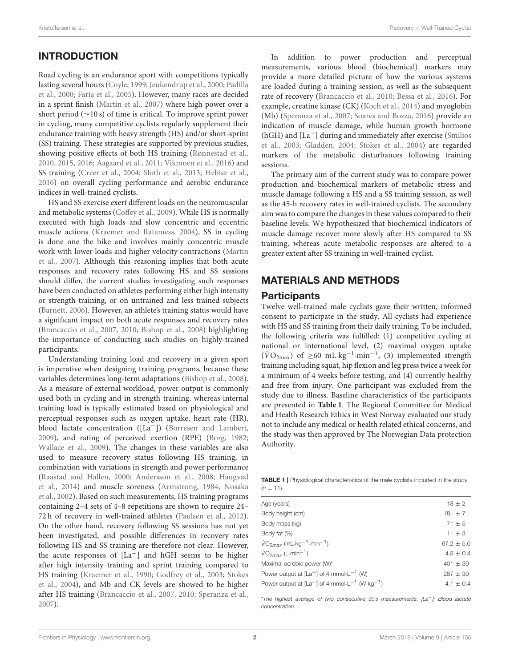# INTRODUCTION

Road cycling is an endurance sport with competitions typically lasting several hours [\(Coyle, 1999;](#page-7-0) [Jeukendrup et al., 2000;](#page-7-1) Padilla et al., [2000;](#page-7-2) [Faria et al., 2005\)](#page-7-3). However, many races are decided in a sprint finish [\(Martin et al., 2007\)](#page-7-4) where high power over a short period (∼10 s) of time is critical. To improve sprint power in cycling, many competitive cyclists regularly supplement their endurance training with heavy strength (HS) and/or short-sprint (SS) training. These strategies are supported by previous studies, showing positive effects of both HS training [\(Rønnestad et al.,](#page-7-5) [2010,](#page-7-5) [2015,](#page-7-6) [2016;](#page-7-7) [Aagaard et al., 2011;](#page-6-0) [Vikmoen et al., 2016\)](#page-8-0) and SS training [\(Creer et al., 2004;](#page-7-8) [Sloth et al., 2013;](#page-7-9) [Hebisz et al.,](#page-7-10) [2016\)](#page-7-10) on overall cycling performance and aerobic endurance indices in well-trained cyclists.

HS and SS exercise exert different loads on the neuromuscular and metabolic systems [\(Coffey et al., 2009\)](#page-7-11). While HS is normally executed with high loads and slow concentric and eccentric muscle actions [\(Kraemer and Ratamess, 2004\)](#page-7-12), SS in cycling is done one the bike and involves mainly concentric muscle work with lower loads and higher velocity contractions (Martin et al., [2007\)](#page-7-4). Although this reasoning implies that both acute responses and recovery rates following HS and SS sessions should differ, the current studies investigating such responses have been conducted on athletes performing either high intensity or strength training, or on untrained and less trained subjects [\(Barnett, 2006\)](#page-7-13). However, an athlete's training status would have a significant impact on both acute responses and recovery rates [\(Brancaccio et al., 2007,](#page-7-14) [2010;](#page-7-15) [Bishop et al., 2008\)](#page-7-16) highlighting the importance of conducting such studies on highly-trained participants.

Understanding training load and recovery in a given sport is imperative when designing training programs, because these variables determines long-term adaptations [\(Bishop et al., 2008\)](#page-7-16). As a measure of external workload, power output is commonly used both in cycling and in strength training, whereas internal training load is typically estimated based on physiological and perceptual responses such as oxygen uptake, heart rate (HR), blood lactate concentration ([La−]) [\(Borresen and Lambert,](#page-7-17) [2009\)](#page-7-17), and rating of perceived exertion (RPE) [\(Borg, 1982;](#page-7-18) [Wallace et al., 2009\)](#page-8-1). The changes in these variables are also used to measure recovery status following HS training, in combination with variations in strength and power performance [\(Raastad and Hallen, 2000;](#page-7-19) [Andersson et al., 2008;](#page-6-1) Haugvad et al., [2014\)](#page-7-20) and muscle soreness [\(Armstrong, 1984;](#page-6-2) Nosaka et al., [2002\)](#page-7-21). Based on such measurements, HS training programs containing 2–4 sets of 4–8 repetitions are shown to require 24– 72 h of recovery in well-trained athletes [\(Paulsen et al., 2012\)](#page-7-22). On the other hand, recovery following SS sessions has not yet been investigated, and possible differences in recovery rates following HS and SS training are therefore not clear. However, the acute responses of [La−] and hGH seems to be higher after high intensity training and sprint training compared to HS training [\(Kraemer et al., 1990;](#page-7-23) [Godfrey et al., 2003;](#page-7-24) Stokes et al., [2004\)](#page-7-25), and Mb and CK levels are showed to be higher after HS training [\(Brancaccio et al., 2007,](#page-7-14) [2010;](#page-7-15) [Speranza et al.,](#page-7-26) [2007\)](#page-7-26).

In addition to power production and perceptual measurements, various blood (biochemical) markers may provide a more detailed picture of how the various systems are loaded during a training session, as well as the subsequent rate of recovery [\(Brancaccio et al., 2010;](#page-7-15) [Bessa et al., 2016\)](#page-7-27). For example, creatine kinase (CK) [\(Koch et al., 2014\)](#page-7-28) and myoglobin (Mb) [\(Speranza et al., 2007;](#page-7-26) [Soares and Bozza, 2016\)](#page-7-29) provide an indication of muscle damage, while human growth hormone (hGH) and [La−] during and immediately after exercise (Smilios et al., [2003;](#page-7-30) [Gladden, 2004;](#page-7-31) [Stokes et al., 2004\)](#page-7-25) are regarded markers of the metabolic disturbances following training sessions.

The primary aim of the current study was to compare power production and biochemical markers of metabolic stress and muscle damage following a HS and a SS training session, as well as the 45-h recovery rates in well-trained cyclists. The secondary aim was to compare the changes in these values compared to their baseline levels. We hypothesized that biochemical indicators of muscle damage recover more slowly after HS compared to SS training, whereas acute metabolic responses are altered to a greater extent after SS training in well-trained cyclist.

### MATERIALS AND METHODS

#### **Participants**

Twelve well-trained male cyclists gave their written, informed consent to participate in the study. All cyclists had experience with HS and SS training from their daily training. To be included, the following criteria was fulfilled: (1) competitive cycling at national or international level, (2) maximal oxygen uptake ( $\dot{V}O_{2\text{max}}$ ) of  $\geq 60 \text{ mL} \cdot \text{kg}^{-1} \cdot \text{min}^{-1}$ , (3) implemented strength training including squat, hip flexion and leg press twice a week for a minimum of 4 weeks before testing, and (4) currently healthy and free from injury. One participant was excluded from the study due to illness. Baseline characteristics of the participants are presented in **[Table 1](#page-1-0)**. The Regional Committee for Medical and Health Research Ethics in West Norway evaluated our study not to include any medical or health related ethical concerns, and the study was then approved by The Norwegian Data protection Authority.

<span id="page-1-0"></span>TABLE 1 | Physiological characteristics of the male cyclists included in the study  $(n - 11)$ 

| Age (years)                                                                | $18 + 2$       |
|----------------------------------------------------------------------------|----------------|
| Body height (cm)                                                           | $181 \pm 7$    |
| Body mass (kg)                                                             | $71 \pm 5$     |
| Body fat (%)                                                               | $11 \pm 3$     |
| $\dot{V}O_{2max}$ (mL $\cdot$ kg <sup>-1</sup> $\cdot$ min <sup>-1</sup> ) | $67.2 \pm 5.0$ |
| $\dot{V}O_{2max}$ (L-min <sup>-1</sup> )                                   | $4.8 \pm 0.4$  |
| Maximal aerobic power (W)*                                                 | $401 + 39$     |
| Power output at $[La^-]$ of 4 mmol $-L^{-1}$ (W)                           | $287 + 30$     |
| Power output at $[La^-]$ of 4 mmol $-L^{-1}$ (W $kg^{-1}$ )                | $4.1 \pm 0.4$  |
|                                                                            |                |

\*The highest average of two consecutive 30 s measurements, [La−]: Blood lactate concentration.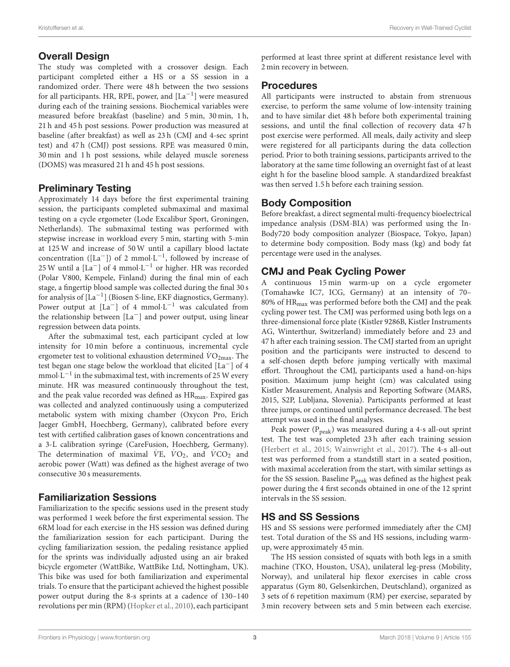#### Overall Design

The study was completed with a crossover design. Each participant completed either a HS or a SS session in a randomized order. There were 48 h between the two sessions for all participants. HR, RPE, power, and  $\left[ \mathrm{La}^{-1} \right]$  were measured during each of the training sessions. Biochemical variables were measured before breakfast (baseline) and 5 min, 30 min, 1 h, 21 h and 45 h post sessions. Power production was measured at baseline (after breakfast) as well as 23 h (CMJ and 4-sec sprint test) and 47 h (CMJ) post sessions. RPE was measured 0 min, 30 min and 1 h post sessions, while delayed muscle soreness (DOMS) was measured 21 h and 45 h post sessions.

# Preliminary Testing

Approximately 14 days before the first experimental training session, the participants completed submaximal and maximal testing on a cycle ergometer (Lode Excalibur Sport, Groningen, Netherlands). The submaximal testing was performed with stepwise increase in workload every 5 min, starting with 5-min at 125 W and increase of 50 W until a capillary blood lactate concentration ([La<sup>-</sup>]) of 2 mmol⋅L<sup>-1</sup>, followed by increase of 25 W until a  $\left[ \mathrm{La}^- \right]$  of 4 mmol $\cdot \mathrm{L}^{-1}$  or higher. HR was recorded (Polar V800, Kempele, Finland) during the final min of each stage, a fingertip blood sample was collected during the final 30 s for analysis of  $\left[ \mathrm{La}^{-1} \right]$  (Biosen S-line, EKF diagnostics, Germany). Power output at  $[La^-]$  of 4 mmol $\cdot L^{-1}$  was calculated from the relationship between [La−] and power output, using linear regression between data points.

After the submaximal test, each participant cycled at low intensity for 10 min before a continuous, incremental cycle ergometer test to volitional exhaustion determined  $\dot{V}O_{2\text{max}}$ . The test began one stage below the workload that elicited [La−] of 4 mmol $\cdot L^{-1}$  in the submaximal test, with increments of 25 W every minute. HR was measured continuously throughout the test, and the peak value recorded was defined as HR<sub>max</sub>. Expired gas was collected and analyzed continuously using a computerized metabolic system with mixing chamber (Oxycon Pro, Erich Jaeger GmbH, Hoechberg, Germany), calibrated before every test with certified calibration gases of known concentrations and a 3-L calibration syringe (CareFusion, Hoechberg, Germany). The determination of maximal  $VE$ ,  $VO_2$ , and  $\dot{V}CO_2$  and aerobic power (Watt) was defined as the highest average of two consecutive 30 s measurements.

### Familiarization Sessions

Familiarization to the specific sessions used in the present study was performed 1 week before the first experimental session. The 6RM load for each exercise in the HS session was defined during the familiarization session for each participant. During the cycling familiarization session, the pedaling resistance applied for the sprints was individually adjusted using an air braked bicycle ergometer (WattBike, WattBike Ltd, Nottingham, UK). This bike was used for both familiarization and experimental trials. To ensure that the participant achieved the highest possible power output during the 8-s sprints at a cadence of 130–140 revolutions per min (RPM) [\(Hopker et al., 2010\)](#page-7-32), each participant performed at least three sprint at different resistance level with 2 min recovery in between.

#### Procedures

All participants were instructed to abstain from strenuous exercise, to perform the same volume of low-intensity training and to have similar diet 48 h before both experimental training sessions, and until the final collection of recovery data 47 h post exercise were performed. All meals, daily activity and sleep were registered for all participants during the data collection period. Prior to both training sessions, participants arrived to the laboratory at the same time following an overnight fast of at least eight h for the baseline blood sample. A standardized breakfast was then served 1.5 h before each training session.

# Body Composition

Before breakfast, a direct segmental multi-frequency bioelectrical impedance analysis (DSM-BIA) was performed using the In-Body720 body composition analyzer (Biospace, Tokyo, Japan) to determine body composition. Body mass (kg) and body fat percentage were used in the analyses.

# CMJ and Peak Cycling Power

A continuous 15 min warm-up on a cycle ergometer (Tomahawke IC7, ICG, Germany) at an intensity of 70– 80% of HRmax was performed before both the CMJ and the peak cycling power test. The CMJ was performed using both legs on a three-dimensional force plate (Kistler 9286B, Kistler Instruments AG, Winterthur, Switzerland) immediately before and 23 and 47 h after each training session. The CMJ started from an upright position and the participants were instructed to descend to a self-chosen depth before jumping vertically with maximal effort. Throughout the CMJ, participants used a hand-on-hips position. Maximum jump height (cm) was calculated using Kistler Measurement, Analysis and Reporting Software (MARS, 2015, S2P, Lubljana, Slovenia). Participants performed at least three jumps, or continued until performance decreased. The best attempt was used in the final analyses.

Peak power  $(P_{peak})$  was measured during a 4-s all-out sprint test. The test was completed 23 h after each training session [\(Herbert et al., 2015;](#page-7-33) [Wainwright et al., 2017\)](#page-8-2). The 4-s all-out test was performed from a standstill start in a seated position, with maximal acceleration from the start, with similar settings as for the SS session. Baseline  $P_{peak}$  was defined as the highest peak power during the 4 first seconds obtained in one of the 12 sprint intervals in the SS session.

# HS and SS Sessions

HS and SS sessions were performed immediately after the CMJ test. Total duration of the SS and HS sessions, including warmup, were approximately 45 min.

The HS session consisted of squats with both legs in a smith machine (TKO, Houston, USA), unilateral leg-press (Mobility, Norway), and unilateral hip flexor exercises in cable cross apparatus (Gym 80, Gelsenkirchen, Deutschland), organized as 3 sets of 6 repetition maximum (RM) per exercise, separated by 3 min recovery between sets and 5 min between each exercise.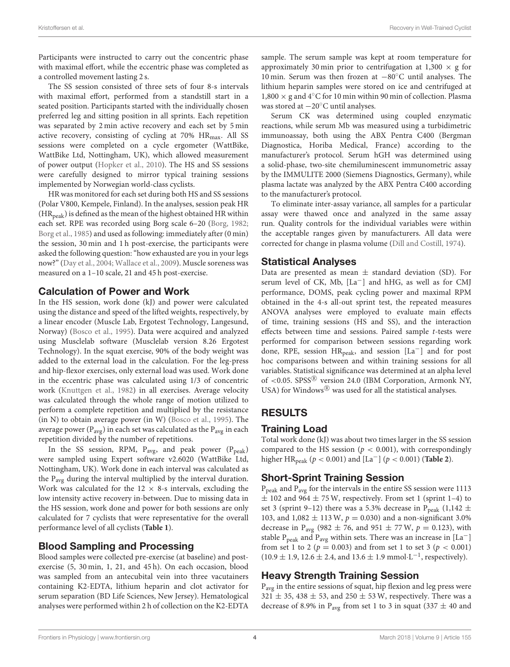Participants were instructed to carry out the concentric phase with maximal effort, while the eccentric phase was completed as a controlled movement lasting 2 s.

The SS session consisted of three sets of four 8-s intervals with maximal effort, performed from a standstill start in a seated position. Participants started with the individually chosen preferred leg and sitting position in all sprints. Each repetition was separated by 2 min active recovery and each set by 5 min active recovery, consisting of cycling at 70% HR<sub>max</sub>. All SS sessions were completed on a cycle ergometer (WattBike, WattBike Ltd, Nottingham, UK), which allowed measurement of power output [\(Hopker et al., 2010\)](#page-7-32). The HS and SS sessions were carefully designed to mirror typical training sessions implemented by Norwegian world-class cyclists.

HR was monitored for each set during both HS and SS sessions (Polar V800, Kempele, Finland). In the analyses, session peak HR  $(HR_{peak})$  is defined as the mean of the highest obtained HR within each set. RPE was recorded using Borg scale 6–20 [\(Borg, 1982;](#page-7-18) [Borg et al., 1985\)](#page-7-34) and used as following: immediately after (0 min) the session, 30 min and 1 h post-exercise, the participants were asked the following question: "how exhausted are you in yourlegs now?" [\(Day et al., 2004;](#page-7-35) [Wallace et al., 2009\)](#page-8-1). Muscle soreness was measured on a 1–10 scale, 21 and 45 h post-exercise.

#### Calculation of Power and Work

In the HS session, work done (kJ) and power were calculated using the distance and speed of the lifted weights, respectively, by a linear encoder (Muscle Lab, Ergotest Technology, Langesund, Norway) [\(Bosco et al., 1995\)](#page-7-36). Data were acquired and analyzed using Musclelab software (Musclelab version 8.26 Ergotest Technology). In the squat exercise, 90% of the body weight was added to the external load in the calculation. For the leg-press and hip-flexor exercises, only external load was used. Work done in the eccentric phase was calculated using 1/3 of concentric work [\(Knuttgen et al., 1982\)](#page-7-37) in all exercises. Average velocity was calculated through the whole range of motion utilized to perform a complete repetition and multiplied by the resistance (in N) to obtain average power (in W) [\(Bosco et al., 1995\)](#page-7-36). The average power ( $P_{\text{avg}}$ ) in each set was calculated as the  $P_{\text{avg}}$  in each repetition divided by the number of repetitions.

In the SS session, RPM,  $P_{avg}$ , and peak power ( $P_{peak}$ ) were sampled using Expert software v2.6020 (WattBike Ltd, Nottingham, UK). Work done in each interval was calculated as the Pavg during the interval multiplied by the interval duration. Work was calculated for the  $12 \times 8$ -s intervals, excluding the low intensity active recovery in-between. Due to missing data in the HS session, work done and power for both sessions are only calculated for 7 cyclists that were representative for the overall performance level of all cyclists (**[Table 1](#page-1-0)**).

#### Blood Sampling and Processing

Blood samples were collected pre-exercise (at baseline) and postexercise (5, 30 min, 1, 21, and 45 h). On each occasion, blood was sampled from an antecubital vein into three vacutainers containing K2-EDTA, lithium heparin and clot activator for serum separation (BD Life Sciences, New Jersey). Hematological analyses were performed within 2 h of collection on the K2-EDTA

sample. The serum sample was kept at room temperature for approximately 30 min prior to centrifugation at  $1,300 \times g$  for 10 min. Serum was then frozen at −80◦C until analyses. The lithium heparin samples were stored on ice and centrifuged at  $1,800 \times$  g and 4°C for 10 min within 90 min of collection. Plasma was stored at −20◦C until analyses.

Serum CK was determined using coupled enzymatic reactions, while serum Mb was measured using a turbidimetric immunoassay, both using the ABX Pentra C400 (Bergman Diagnostica, Horiba Medical, France) according to the manufacturer's protocol. Serum hGH was determined using a solid-phase, two-site chemiluminescent immunometric assay by the IMMULITE 2000 (Siemens Diagnostics, Germany), while plasma lactate was analyzed by the ABX Pentra C400 according to the manufacturer's protocol.

To eliminate inter-assay variance, all samples for a particular assay were thawed once and analyzed in the same assay run. Quality controls for the individual variables were within the acceptable ranges given by manufacturers. All data were corrected for change in plasma volume [\(Dill and Costill, 1974\)](#page-7-38).

#### Statistical Analyses

Data are presented as mean  $\pm$  standard deviation (SD). For serum level of CK, Mb, [La−] and hHG, as well as for CMJ performance, DOMS, peak cycling power and maximal RPM obtained in the 4-s all-out sprint test, the repeated measures ANOVA analyses were employed to evaluate main effects of time, training sessions (HS and SS), and the interaction effects between time and sessions. Paired sample t-tests were performed for comparison between sessions regarding work done, RPE, session HR<sub>peak</sub>, and session [La<sup>−</sup>] and for post hoc comparisons between and within training sessions for all variables. Statistical significance was determined at an alpha level of <0.05. SPSS<sup>®</sup> version 24.0 (IBM Corporation, Armonk NY, USA) for Windows $^{\circledR}$  was used for all the statistical analyses.

### RESULTS

#### Training Load

Total work done (kJ) was about two times larger in the SS session compared to the HS session ( $p < 0.001$ ), with correspondingly higher HR<sub>peak</sub> ( $p < 0.001$ ) and [La<sup>-</sup>] ( $p < 0.001$ ) (**[Table 2](#page-4-0)**).

### Short-Sprint Training Session

Ppeak and Pavg for the intervals in the entire SS session were 1113  $\pm$  102 and 964  $\pm$  75 W, respectively. From set 1 (sprint 1-4) to set 3 (sprint 9–12) there was a 5.3% decrease in P<sub>peak</sub> (1,142  $\pm$ 103, and 1,082  $\pm$  113 W,  $p = 0.030$ ) and a non-significant 3.0% decrease in P<sub>avg</sub> (982  $\pm$  76, and 951  $\pm$  77 W,  $p = 0.123$ ), with stable  $P_{peak}$  and  $P_{avg}$  within sets. There was an increase in [La<sup>-</sup>] from set 1 to 2 ( $p = 0.003$ ) and from set 1 to set 3 ( $p < 0.001$ )  $(10.9 \pm 1.9, 12.6 \pm 2.4, \text{ and } 13.6 \pm 1.9 \text{ mmol} \cdot \text{L}^{-1}$ , respectively).

# Heavy Strength Training Session

P<sub>avg</sub> in the entire sessions of squat, hip flexion and leg press were  $321 \pm 35$ ,  $438 \pm 53$ , and  $250 \pm 53$  W, respectively. There was a decrease of 8.9% in P<sub>avg</sub> from set 1 to 3 in squat (337  $\pm$  40 and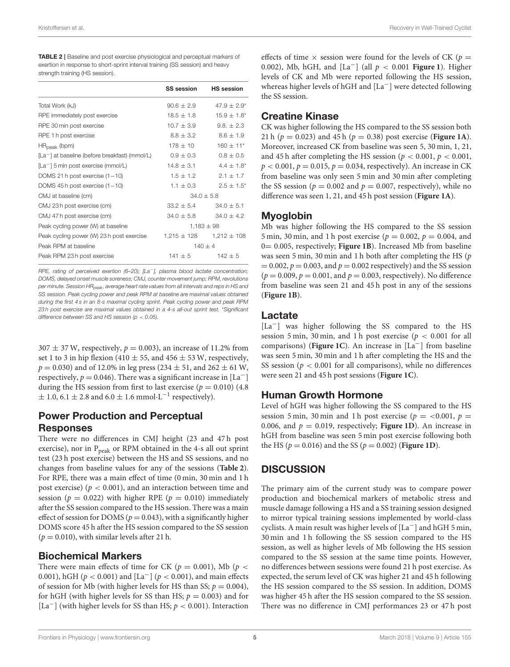<span id="page-4-0"></span>

| <b>TABLE 2</b>   Baseline and post exercise physiological and perceptual markers of |
|-------------------------------------------------------------------------------------|
| exertion in response to short-sprint interval training (SS session) and heavy       |
| strength training (HS session).                                                     |

|                                                            | <b>SS session</b> | <b>HS</b> session         |
|------------------------------------------------------------|-------------------|---------------------------|
| Total Work (kJ)                                            | $90.6 \pm 2.9$    | $47.9 \pm 2.9^*$          |
| RPE immediately post exercise                              | $18.5 + 1.8$      | $15.9 \pm 1.8^*$          |
| RPE 30 min post exercise                                   | $10.7 \pm 3.9$    | $9.8. \pm 2.3$            |
| RPE 1 h post exercise                                      | $8.8 \pm 3.2$     | $8.6 \pm 1.9$             |
| $HR_{peak}$ (bpm)                                          | $178 + 10$        | $160 \pm 11$ <sup>*</sup> |
| [La <sup>-</sup> ] at baseline (before breakfast) (mmol/L) | $0.9 \pm 0.3$     | $0.8 \pm 0.5$             |
| $[La^-]$ 5 min post exercise (mmol/L)                      | $14.8 \pm 3.1$    | $4.4 + 1.8^*$             |
| DOMS 21 h post exercise $(1-10)$                           | $1.5 + 1.2$       | $2.1 + 1.7$               |
| DOMS 45 h post exercise $(1-10)$                           | $1.1 \pm 0.3$     | $2.5 \pm 1.5^*$           |
| CMJ at baseline (cm)                                       | $34.0 + 5.8$      |                           |
| CMJ 23 h post exercise (cm)                                | $33.2 \pm 5.4$    | $34.0 \pm 5.1$            |
| CMJ 47 h post exercise (cm)                                | $34.0 \pm 5.8$    | $34.0 \pm 4.2$            |
| Peak cycling power (W) at baseline                         | $1,183 \pm 98$    |                           |
| Peak cycling power (W) 23 h post exercise                  | $1,215 \pm 128$   | $1,212 \pm 108$           |
| Peak RPM at baseline                                       | $140 + 4$         |                           |
| Peak RPM 23 h post exercise                                | $141 \pm 5$       | $142 \pm 5$               |

RPE, rating of perceived exertion (6–20); [La<sup>-</sup>], plasma blood lactate concentration; DOMS, delayed onset muscle soreness; CMJ, counter movement jump; RPM, revolutions per minute. Session HR<sub>peak</sub>, average heart rate values from all intervals and reps in HS and SS session. Peak cycling power and peak RPM at baseline are maximal values obtained during the first 4 s in an 8-s maximal cycling sprint. Peak cycling power and peak RPM 23 h post exercise are maximal values obtained in a 4-s all-out sprint test. \*Significant difference between SS and HS session ( $p < 0.05$ ).

 $307 \pm 37$  W, respectively,  $p = 0.003$ ), an increase of 11.2% from set 1 to 3 in hip flexion (410  $\pm$  55, and 456  $\pm$  53 W, respectively,  $p = 0.030$ ) and of 12.0% in leg press (234  $\pm$  51, and 262  $\pm$  61 W, respectively,  $p = 0.046$ ). There was a significant increase in [La<sup>-</sup>] during the HS session from first to last exercise ( $p = 0.010$ ) (4.8)  $\pm$  1.0, 6.1  $\pm$  2.8 and 6.0  $\pm$  1.6 mmol $\cdot$ L<sup>-1</sup> respectively).

# Power Production and Perceptual Responses

There were no differences in CMJ height (23 and 47 h post exercise), nor in P<sub>peak</sub> or RPM obtained in the 4-s all out sprint test (23 h post exercise) between the HS and SS sessions, and no changes from baseline values for any of the sessions (**[Table 2](#page-4-0)**). For RPE, there was a main effect of time (0 min, 30 min and 1 h post exercise) ( $p < 0.001$ ), and an interaction between time and session ( $p = 0.022$ ) with higher RPE ( $p = 0.010$ ) immediately after the SS session compared to the HS session. There was a main effect of session for DOMS ( $p = 0.043$ ), with a significantly higher DOMS score 45 h after the HS session compared to the SS session  $(p = 0.010)$ , with similar levels after 21 h.

#### Biochemical Markers

There were main effects of time for CK ( $p = 0.001$ ), Mb ( $p <$ 0.001), hGH ( $p < 0.001$ ) and [La<sup>-</sup>] ( $p < 0.001$ ), and main effects of session for Mb (with higher levels for HS than SS;  $p = 0.004$ ), for hGH (with higher levels for SS than HS;  $p = 0.003$ ) and for [La<sup>-</sup>] (with higher levels for SS than HS;  $p < 0.001$ ). Interaction

effects of time  $\times$  session were found for the levels of CK ( $p =$ 0.002), Mb, hGH, and  $\lceil La^{-} \rceil$  (all  $p < 0.001$  **[Figure 1](#page-5-0)**). Higher levels of CK and Mb were reported following the HS session, whereas higher levels of hGH and [La−] were detected following the SS session.

### Creatine Kinase

CK was higher following the HS compared to the SS session both 21 h ( $p = 0.023$ ) and 45 h ( $p = 0.38$ ) post exercise (**[Figure 1A](#page-5-0)**). Moreover, increased CK from baseline was seen 5, 30 min, 1, 21, and 45 h after completing the HS session ( $p < 0.001$ ,  $p < 0.001$ ,  $p < 0.001$ ,  $p = 0.015$ ,  $p = 0.034$ , respectively). An increase in CK from baseline was only seen 5 min and 30 min after completing the SS session ( $p = 0.002$  and  $p = 0.007$ , respectively), while no difference was seen 1, 21, and 45 h post session (**[Figure 1A](#page-5-0)**).

# Myoglobin

Mb was higher following the HS compared to the SS session 5 min, 30 min, and 1 h post exercise ( $p = 0.002$ ,  $p = 0.004$ , and 0= 0.005, respectively; **[Figure 1B](#page-5-0)**). Increased Mb from baseline was seen 5 min, 30 min and 1 h both after completing the HS (p  $= 0.002$ ,  $p = 0.003$ , and  $p = 0.002$  respectively) and the SS session  $(p = 0.009, p = 0.001,$  and  $p = 0.003$ , respectively). No difference from baseline was seen 21 and 45 h post in any of the sessions (**[Figure 1B](#page-5-0)**).

#### Lactate

[La−] was higher following the SS compared to the HS session 5 min, 30 min, and 1 h post exercise ( $p < 0.001$  for all comparisons) (**[Figure 1C](#page-5-0)**). An increase in [La−] from baseline was seen 5 min, 30 min and 1 h after completing the HS and the SS session ( $p < 0.001$  for all comparisons), while no differences were seen 21 and 45 h post sessions (**[Figure 1C](#page-5-0)**).

### Human Growth Hormone

Level of hGH was higher following the SS compared to the HS session 5 min, 30 min and 1 h post exercise ( $p = <0.001$ ,  $p =$ 0.006, and  $p = 0.019$ , respectively; **[Figure 1D](#page-5-0)**). An increase in hGH from baseline was seen 5 min post exercise following both the HS ( $p = 0.016$ ) and the SS ( $p = 0.002$ ) (**[Figure 1D](#page-5-0)**).

# **DISCUSSION**

The primary aim of the current study was to compare power production and biochemical markers of metabolic stress and muscle damage following a HS and a SS training session designed to mirror typical training sessions implemented by world-class cyclists. A main result was higher levels of [La−] and hGH 5 min, 30 min and 1 h following the SS session compared to the HS session, as well as higher levels of Mb following the HS session compared to the SS session at the same time points. However, no differences between sessions were found 21 h post exercise. As expected, the serum level of CK was higher 21 and 45 h following the HS session compared to the SS session. In addition, DOMS was higher 45 h after the HS session compared to the SS session. There was no difference in CMJ performances 23 or 47 h post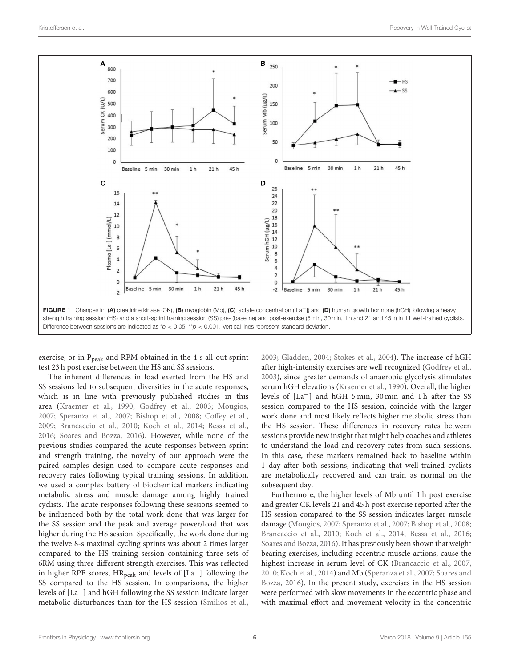

<span id="page-5-0"></span>exercise, or in P<sub>peak</sub> and RPM obtained in the 4-s all-out sprint test 23 h post exercise between the HS and SS sessions.

The inherent differences in load exerted from the HS and SS sessions led to subsequent diversities in the acute responses, which is in line with previously published studies in this area [\(Kraemer et al., 1990;](#page-7-23) [Godfrey et al., 2003;](#page-7-24) [Mougios,](#page-7-39) [2007;](#page-7-39) [Speranza et al., 2007;](#page-7-26) [Bishop et al., 2008;](#page-7-16) [Coffey et al.,](#page-7-11) [2009;](#page-7-11) [Brancaccio et al., 2010;](#page-7-15) [Koch et al., 2014;](#page-7-28) [Bessa et al.,](#page-7-27) [2016;](#page-7-27) [Soares and Bozza, 2016\)](#page-7-29). However, while none of the previous studies compared the acute responses between sprint and strength training, the novelty of our approach were the paired samples design used to compare acute responses and recovery rates following typical training sessions. In addition, we used a complex battery of biochemical markers indicating metabolic stress and muscle damage among highly trained cyclists. The acute responses following these sessions seemed to be influenced both by the total work done that was larger for the SS session and the peak and average power/load that was higher during the HS session. Specifically, the work done during the twelve 8-s maximal cycling sprints was about 2 times larger compared to the HS training session containing three sets of 6RM using three different strength exercises. This was reflected in higher RPE scores,  $HR_{peak}$  and levels of [La<sup>-</sup>] following the SS compared to the HS session. In comparisons, the higher levels of [La−] and hGH following the SS session indicate larger metabolic disturbances than for the HS session [\(Smilios et al.,](#page-7-30)

[2003;](#page-7-30) [Gladden, 2004;](#page-7-31) [Stokes et al., 2004\)](#page-7-25). The increase of hGH after high-intensity exercises are well recognized [\(Godfrey et al.,](#page-7-24) [2003\)](#page-7-24), since greater demands of anaerobic glycolysis stimulates serum hGH elevations [\(Kraemer et al., 1990\)](#page-7-23). Overall, the higher levels of [La−] and hGH 5 min, 30 min and 1 h after the SS session compared to the HS session, coincide with the larger work done and most likely reflects higher metabolic stress than the HS session. These differences in recovery rates between sessions provide new insight that might help coaches and athletes to understand the load and recovery rates from such sessions. In this case, these markers remained back to baseline within 1 day after both sessions, indicating that well-trained cyclists are metabolically recovered and can train as normal on the subsequent day.

Furthermore, the higher levels of Mb until 1 h post exercise and greater CK levels 21 and 45 h post exercise reported after the HS session compared to the SS session indicates larger muscle damage [\(Mougios, 2007;](#page-7-39) [Speranza et al., 2007;](#page-7-26) [Bishop et al., 2008;](#page-7-16) [Brancaccio et al., 2010;](#page-7-15) [Koch et al., 2014;](#page-7-28) [Bessa et al., 2016;](#page-7-27) [Soares and Bozza, 2016\)](#page-7-29). It has previously been shown that weight bearing exercises, including eccentric muscle actions, cause the highest increase in serum level of CK [\(Brancaccio et al., 2007,](#page-7-14) [2010;](#page-7-15) [Koch et al., 2014\)](#page-7-28) and Mb [\(Speranza et al., 2007;](#page-7-26) Soares and Bozza, [2016\)](#page-7-29). In the present study, exercises in the HS session were performed with slow movements in the eccentric phase and with maximal effort and movement velocity in the concentric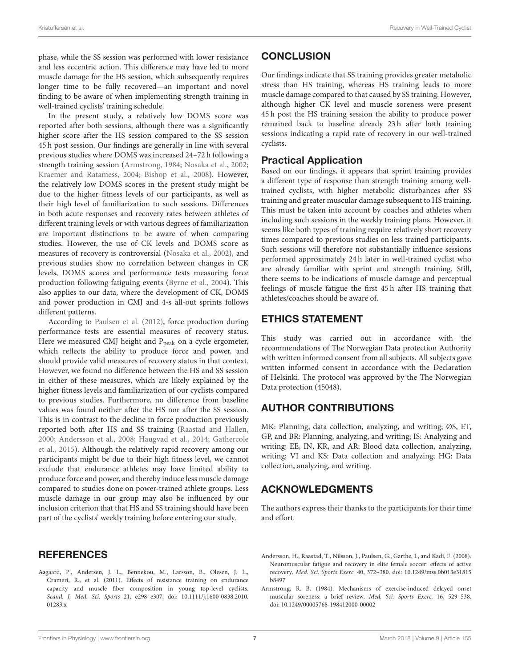phase, while the SS session was performed with lower resistance and less eccentric action. This difference may have led to more muscle damage for the HS session, which subsequently requires longer time to be fully recovered—an important and novel finding to be aware of when implementing strength training in well-trained cyclists' training schedule.

In the present study, a relatively low DOMS score was reported after both sessions, although there was a significantly higher score after the HS session compared to the SS session 45 h post session. Our findings are generally in line with several previous studies where DOMS was increased 24–72 h following a strength training session [\(Armstrong, 1984;](#page-6-2) [Nosaka et al., 2002;](#page-7-21) [Kraemer and Ratamess, 2004;](#page-7-12) [Bishop et al., 2008\)](#page-7-16). However, the relatively low DOMS scores in the present study might be due to the higher fitness levels of our participants, as well as their high level of familiarization to such sessions. Differences in both acute responses and recovery rates between athletes of different training levels or with various degrees of familiarization are important distinctions to be aware of when comparing studies. However, the use of CK levels and DOMS score as measures of recovery is controversial [\(Nosaka et al., 2002\)](#page-7-21), and previous studies show no correlation between changes in CK levels, DOMS scores and performance tests measuring force production following fatiguing events [\(Byrne et al., 2004\)](#page-7-40). This also applies to our data, where the development of CK, DOMS and power production in CMJ and 4-s all-out sprints follows different patterns.

According to [Paulsen et al. \(2012\)](#page-7-22), force production during performance tests are essential measures of recovery status. Here we measured CMJ height and P<sub>peak</sub> on a cycle ergometer, which reflects the ability to produce force and power, and should provide valid measures of recovery status in that context. However, we found no difference between the HS and SS session in either of these measures, which are likely explained by the higher fitness levels and familiarization of our cyclists compared to previous studies. Furthermore, no difference from baseline values was found neither after the HS nor after the SS session. This is in contrast to the decline in force production previously reported both after HS and SS training [\(Raastad and Hallen,](#page-7-19) [2000;](#page-7-19) [Andersson et al., 2008;](#page-6-1) [Haugvad et al., 2014;](#page-7-20) Gathercole et al., [2015\)](#page-7-41). Although the relatively rapid recovery among our participants might be due to their high fitness level, we cannot exclude that endurance athletes may have limited ability to produce force and power, and thereby induce less muscle damage compared to studies done on power-trained athlete groups. Less muscle damage in our group may also be influenced by our inclusion criterion that that HS and SS training should have been part of the cyclists' weekly training before entering our study.

#### **REFERENCES**

<span id="page-6-0"></span>Aagaard, P., Andersen, J. L., Bennekou, M., Larsson, B., Olesen, J. L., Crameri, R., et al. (2011). Effects of resistance training on endurance capacity and muscle fiber composition in young top-level cyclists. Scand. J. Med. Sci. Sports [21, e298–e307. doi: 10.1111/j.1600-0838.2010.](https://doi.org/10.1111/j.1600-0838.2010.01283.x) 01283.x

### **CONCLUSION**

Our findings indicate that SS training provides greater metabolic stress than HS training, whereas HS training leads to more muscle damage compared to that caused by SS training. However, although higher CK level and muscle soreness were present 45 h post the HS training session the ability to produce power remained back to baseline already 23 h after both training sessions indicating a rapid rate of recovery in our well-trained cyclists.

#### Practical Application

Based on our findings, it appears that sprint training provides a different type of response than strength training among welltrained cyclists, with higher metabolic disturbances after SS training and greater muscular damage subsequent to HS training. This must be taken into account by coaches and athletes when including such sessions in the weekly training plans. However, it seems like both types of training require relatively short recovery times compared to previous studies on less trained participants. Such sessions will therefore not substantially influence sessions performed approximately 24 h later in well-trained cyclist who are already familiar with sprint and strength training. Still, there seems to be indications of muscle damage and perceptual feelings of muscle fatigue the first 45 h after HS training that athletes/coaches should be aware of.

#### ETHICS STATEMENT

This study was carried out in accordance with the recommendations of The Norwegian Data protection Authority with written informed consent from all subjects. All subjects gave written informed consent in accordance with the Declaration of Helsinki. The protocol was approved by the The Norwegian Data protection (45048).

### AUTHOR CONTRIBUTIONS

MK: Planning, data collection, analyzing, and writing; ØS, ET, GP, and BR: Planning, analyzing, and writing; IS: Analyzing and writing; EE, IN, KR, and AR: Blood data collection, analyzing, writing; VI and KS: Data collection and analyzing; HG: Data collection, analyzing, and writing.

### ACKNOWLEDGMENTS

The authors express their thanks to the participants for their time and effort.

- <span id="page-6-1"></span>Andersson, H., Raastad, T., Nilsson, J., Paulsen, G., Garthe, I., and Kadi, F. (2008). Neuromuscular fatigue and recovery in elite female soccer: effects of active recovery. Med. Sci. Sports Exerc. [40, 372–380. doi: 10.1249/mss.0b013e31815](https://doi.org/10.1249/mss.0b013e31815b8497) b8497
- <span id="page-6-2"></span>Armstrong, R. B. (1984). Mechanisms of exercise-induced delayed onset muscular soreness: a brief review. Med. Sci. Sports Exerc. 16, 529–538. doi: [10.1249/00005768-198412000-00002](https://doi.org/10.1249/00005768-198412000-00002)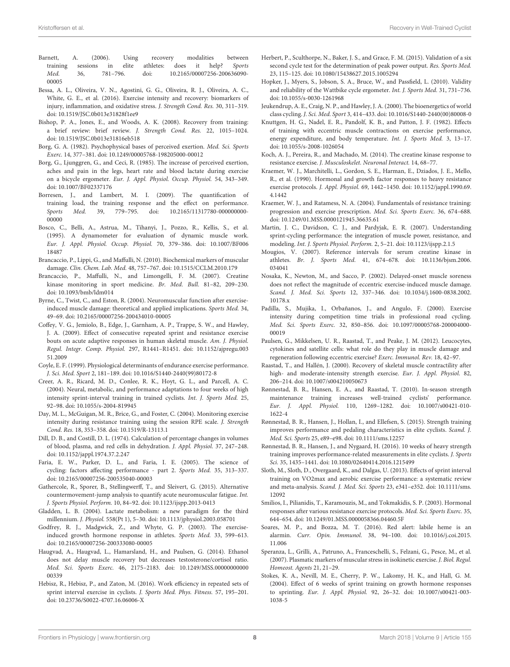- <span id="page-7-13"></span>Barnett, A. (2006). Using recovery modalities between training sessions in elite athletes: does it help? Sports Med. [36, 781–796. doi: 10.2165/00007256-200636090-](https://doi.org/10.2165/00007256-200636090-00005) 00005
- <span id="page-7-27"></span>Bessa, A. L., Oliveira, V. N., Agostini, G. G., Oliveira, R. J., Oliveira, A. C., White, G. E., et al. (2016). Exercise intensity and recovery: biomarkers of injury, inflammation, and oxidative stress. J. Strength Cond. Res. 30, 311–319. doi: [10.1519/JSC.0b013e31828f1ee9](https://doi.org/10.1519/JSC.0b013e31828f1ee9)
- <span id="page-7-16"></span>Bishop, P. A., Jones, E., and Woods, A. K. (2008). Recovery from training: a brief review: brief review. J. Strength Cond. Res. 22, 1015–1024. doi: [10.1519/JSC.0b013e31816eb518](https://doi.org/10.1519/JSC.0b013e31816eb518)
- <span id="page-7-18"></span>Borg, G. A. (1982). Psychophysical bases of perceived exertion. Med. Sci. Sports Exerc. 14, 377–381. doi: [10.1249/00005768-198205000-00012](https://doi.org/10.1249/00005768-198205000-00012)
- <span id="page-7-34"></span>Borg, G., Ljunggren, G., and Ceci, R. (1985). The increase of perceived exertion, aches and pain in the legs, heart rate and blood lactate during exercise on a bicycle ergometer. Eur. J. Appl. Physiol. Occup. Physiol. 54, 343–349. doi: [10.1007/BF02337176](https://doi.org/10.1007/BF02337176)
- <span id="page-7-17"></span>Borresen, J., and Lambert, M. I. (2009). The quantification of training load, the training response and the effect on performance.<br>Sports Med. 39, 779-795. doi: 10.2165/11317780-000000000-Sports Med. [39, 779–795. doi: 10.2165/11317780-000000000-](https://doi.org/10.2165/11317780-000000000-00000) 00000
- <span id="page-7-36"></span>Bosco, C., Belli, A., Astrua, M., Tihanyi, J., Pozzo, R., Kellis, S., et al. (1995). A dynamometer for evaluation of dynamic muscle work. [Eur. J. Appl. Physiol. Occup. Physiol.](https://doi.org/10.1007/BF00618487) 70, 379–386. doi: 10.1007/BF006 18487
- <span id="page-7-15"></span>Brancaccio, P., Lippi, G., and Maffulli, N. (2010). Biochemical markers of muscular damage. Clin. Chem. Lab. Med. 48, 757–767. doi: [10.1515/CCLM.2010.179](https://doi.org/10.1515/CCLM.2010.179)
- <span id="page-7-14"></span>Brancaccio, P., Maffulli, N., and Limongelli, F. M. (2007). Creatine kinase monitoring in sport medicine. Br. Med. Bull. 81–82, 209–230. doi: [10.1093/bmb/ldm014](https://doi.org/10.1093/bmb/ldm014)
- <span id="page-7-40"></span>Byrne, C., Twist, C., and Eston, R. (2004). Neuromuscular function after exerciseinduced muscle damage: theoretical and applied implications. Sports Med. 34, 49–69. doi: [10.2165/00007256-200434010-00005](https://doi.org/10.2165/00007256-200434010-00005)
- <span id="page-7-11"></span>Coffey, V. G., Jemiolo, B., Edge, J., Garnham, A. P., Trappe, S. W., and Hawley, J. A. (2009). Effect of consecutive repeated sprint and resistance exercise bouts on acute adaptive responses in human skeletal muscle. Am. J. Physiol. Regul. Integr. Comp. Physiol. [297, R1441–R1451. doi: 10.1152/ajpregu.003](https://doi.org/10.1152/ajpregu.00351.2009) 51.2009
- <span id="page-7-0"></span>Coyle, E. F. (1999). Physiological determinants of endurance exercise performance. J. Sci. Med. Sport 2, 181–189. doi: [10.1016/S1440-2440\(99\)80172-8](https://doi.org/10.1016/S1440-2440(99)80172-8)
- <span id="page-7-8"></span>Creer, A. R., Ricard, M. D., Conlee, R. K., Hoyt, G. L., and Parcell, A. C. (2004). Neural, metabolic, and performance adaptations to four weeks of high intensity sprint-interval training in trained cyclists. Int. J. Sports Med. 25, 92–98. doi: [10.1055/s-2004-819945](https://doi.org/10.1055/s-2004-819945)
- <span id="page-7-35"></span>Day, M. L., McGuigan, M. R., Brice, G., and Foster, C. (2004). Monitoring exercise intensity during resistance training using the session RPE scale. J. Strength Cond. Res. 18, 353–358. doi: [10.1519/R-13113.1](https://doi.org/10.1519/R-13113.1)
- <span id="page-7-38"></span>Dill, D. B., and Costill, D. L. (1974). Calculation of percentage changes in volumes of blood, plasma, and red cells in dehydration. J. Appl. Physiol. 37, 247–248. doi: [10.1152/jappl.1974.37.2.247](https://doi.org/10.1152/jappl.1974.37.2.247)
- <span id="page-7-3"></span>Faria, E. W., Parker, D. L., and Faria, I. E. (2005). The science of cycling: factors affecting performance - part 2. Sports Med. 35, 313–337. doi: [10.2165/00007256-200535040-00003](https://doi.org/10.2165/00007256-200535040-00003)
- <span id="page-7-41"></span>Gathercole, R., Sporer, B., Stellingwerff, T., and Sleivert, G. (2015). Alternative countermovement-jump analysis to quantify acute neuromuscular fatigue. Int. J. Sports Physiol. Perform. 10, 84–92. doi: [10.1123/ijspp.2013-0413](https://doi.org/10.1123/ijspp.2013-0413)
- <span id="page-7-31"></span>Gladden, L. B. (2004). Lactate metabolism: a new paradigm for the third millennium. J. Physiol. 558(Pt 1), 5–30. doi: [10.1113/jphysiol.2003.058701](https://doi.org/10.1113/jphysiol.2003.058701)
- <span id="page-7-24"></span>Godfrey, R. J., Madgwick, Z., and Whyte, G. P. (2003). The exerciseinduced growth hormone response in athletes. Sports Med. 33, 599–613. doi: [10.2165/00007256-200333080-00005](https://doi.org/10.2165/00007256-200333080-00005)
- <span id="page-7-20"></span>Haugvad, A., Haugvad, L., Hamarsland, H., and Paulsen, G. (2014). Ethanol does not delay muscle recovery but decreases testosterone/cortisol ratio. Med. Sci. Sports Exerc. [46, 2175–2183. doi: 10.1249/MSS.00000000000](https://doi.org/10.1249/MSS.0000000000000339) 00339
- <span id="page-7-10"></span>Hebisz, R., Hebisz, P., and Zaton, M. (2016). Work efficiency in repeated sets of sprint interval exercise in cyclists. J. Sports Med. Phys. Fitness. 57, 195–201. doi: [10.23736/S0022-4707.16.06006-X](https://doi.org/10.23736/S0022-4707.16.06006-X)
- <span id="page-7-33"></span>Herbert, P., Sculthorpe, N., Baker, J. S., and Grace, F. M. (2015). Validation of a six second cycle test for the determination of peak power output. Res. Sports Med. 23, 115–125. doi: [10.1080/15438627.2015.1005294](https://doi.org/10.1080/15438627.2015.1005294)
- <span id="page-7-32"></span>Hopker, J., Myers, S., Jobson, S. A., Bruce, W., and Passfield, L. (2010). Validity and reliability of the Wattbike cycle ergometer. Int. J. Sports Med. 31, 731–736. doi: [10.1055/s-0030-1261968](https://doi.org/10.1055/s-0030-1261968)
- <span id="page-7-1"></span>Jeukendrup, A. E., Craig, N. P., and Hawley, J. A. (2000). The bioenergetics of world class cycling. J. Sci. Med. Sport 3, 414–433. doi: [10.1016/S1440-2440\(00\)80008-0](https://doi.org/10.1016/S1440-2440(00)80008-0)
- <span id="page-7-37"></span>Knuttgen, H. G., Nadel, E. R., Pandolf, K. B., and Patton, J. F. (1982). Effects of training with eccentric muscle contractions on exercise performance, energy expenditure, and body temperature. Int. J. Sports Med. 3, 13–17. doi: [10.1055/s-2008-1026054](https://doi.org/10.1055/s-2008-1026054)
- <span id="page-7-28"></span>Koch, A. J., Pereira, R., and Machado, M. (2014). The creatine kinase response to resistance exercise. J. Musculoskelet. Neuronal Interact. 14, 68–77.
- <span id="page-7-23"></span>Kraemer, W. J., Marchitelli, L., Gordon, S. E., Harman, E., Dziados, J. E., Mello, R., et al. (1990). Hormonal and growth factor responses to heavy resistance exercise protocols. J. Appl. Physiol. [69, 1442–1450. doi: 10.1152/jappl.1990.69.](https://doi.org/10.1152/jappl.1990.69.4.1442) 4.1442
- <span id="page-7-12"></span>Kraemer, W. J., and Ratamess, N. A. (2004). Fundamentals of resistance training: progression and exercise prescription. Med. Sci. Sports Exerc. 36, 674–688. doi: [10.1249/01.MSS.0000121945.36635.61](https://doi.org/10.1249/01.MSS.0000121945.36635.61)
- <span id="page-7-4"></span>Martin, J. C., Davidson, C. J., and Pardyjak, E. R. (2007). Understanding sprint-cycling performance: the integration of muscle power, resistance, and modeling. Int. J. Sports Physiol. Perform. 2, 5–21. doi: [10.1123/ijspp.2.1.5](https://doi.org/10.1123/ijspp.2.1.5)
- <span id="page-7-39"></span>Mougios, V. (2007). Reference intervals for serum creatine kinase in athletes. Br. J. Sports Med. [41, 674–678. doi: 10.1136/bjsm.2006.](https://doi.org/10.1136/bjsm.2006.034041) 034041
- <span id="page-7-21"></span>Nosaka, K., Newton, M., and Sacco, P. (2002). Delayed-onset muscle soreness does not reflect the magnitude of eccentric exercise-induced muscle damage. Scand. J. Med. Sci. Sports [12, 337–346. doi: 10.1034/j.1600-0838.2002.](https://doi.org/10.1034/j.1600-0838.2002.10178.x) 10178.x
- <span id="page-7-2"></span>Padilla, S., Mujika, I., Orbañanos, J., and Angulo, F. (2000). Exercise intensity during competition time trials in professional road cycling. Med. Sci. Sports Exerc. [32, 850–856. doi: 10.1097/00005768-200004000-](https://doi.org/10.1097/00005768-200004000-00019) 00019
- <span id="page-7-22"></span>Paulsen, G., Mikkelsen, U. R., Raastad, T., and Peake, J. M. (2012). Leucocytes, cytokines and satellite cells: what role do they play in muscle damage and regeneration following eccentric exercise? Exerc. Immunol. Rev. 18, 42–97.
- <span id="page-7-19"></span>Raastad, T., and Hallén, J. (2000). Recovery of skeletal muscle contractility after high- and moderate-intensity strength exercise. Eur. J. Appl. Physiol. 82, 206–214. doi: [10.1007/s004210050673](https://doi.org/10.1007/s004210050673)
- <span id="page-7-5"></span>Rønnestad, B. R., Hansen, E. A., and Raastad, T. (2010). In-season strength maintenance training increases well-trained cyclists' performance. Eur. J. Appl. Physiol. [110, 1269–1282. doi: 10.1007/s00421-010-](https://doi.org/10.1007/s00421-010-1622-4) 1622-4
- <span id="page-7-6"></span>Rønnestad, B. R., Hansen, J., Hollan, I., and Ellefsen, S. (2015). Strength training improves performance and pedaling characteristics in elite cyclists. Scand. J. Med. Sci. Sports 25, e89–e98. doi: [10.1111/sms.12257](https://doi.org/10.1111/sms.12257)
- <span id="page-7-7"></span>Rønnestad, B. R., Hansen, J., and Nygaard, H. (2016). 10 weeks of heavy strength training improves performance-related measurements in elite cyclists. J. Sports Sci. 35, 1435–1441. doi: [10.1080/02640414.2016.1215499](https://doi.org/10.1080/02640414.2016.1215499)
- <span id="page-7-9"></span>Sloth, M., Sloth, D., Overgaard, K., and Dalgas, U. (2013). Effects of sprint interval training on VO2max and aerobic exercise performance: a systematic review and meta-analysis. Scand. J. Med. Sci. Sports [23, e341–e352. doi: 10.1111/sms.](https://doi.org/10.1111/sms.12092) 12092
- <span id="page-7-30"></span>Smilios, I., Pilianidis, T., Karamouzis, M., and Tokmakidis, S. P. (2003). Hormonal responses after various resistance exercise protocols. Med. Sci. Sports Exerc. 35, 644–654. doi: [10.1249/01.MSS.0000058366.04460.5F](https://doi.org/10.1249/01.MSS.0000058366.04460.5F)
- <span id="page-7-29"></span>Soares, M. P., and Bozza, M. T. (2016). Red alert: labile heme is an alarmin. Curr. Opin. Immunol. [38, 94–100. doi: 10.1016/j.coi.2015.](https://doi.org/10.1016/j.coi.2015.11.006) 11.006
- <span id="page-7-26"></span>Speranza, L., Grilli, A., Patruno, A., Franceschelli, S., Felzani, G., Pesce, M., et al. (2007). Plasmatic markers of muscular stress in isokinetic exercise. J. Biol. Regul. Homeost. Agents 21, 21–29.
- <span id="page-7-25"></span>Stokes, K. A., Nevill, M. E., Cherry, P. W., Lakomy, H. K., and Hall, G. M. (2004). Effect of 6 weeks of sprint training on growth hormone responses to sprinting. Eur. J. Appl. Physiol. [92, 26–32. doi: 10.1007/s00421-003-](https://doi.org/10.1007/s00421-003-1038-5) 1038-5